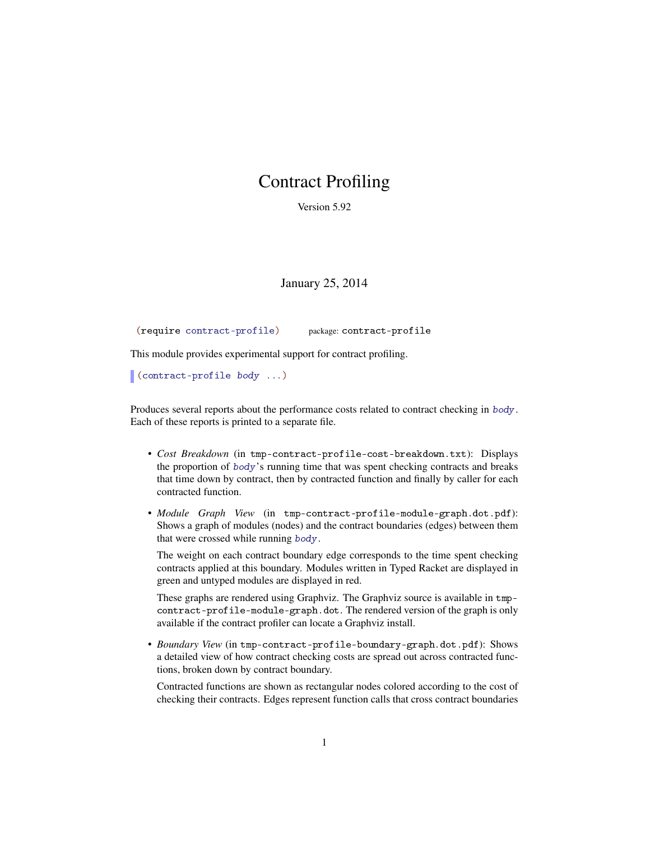## Contract Profiling

Version 5.92

January 25, 2014

(require contract-profile) package: contract-profile

This module provides experimental support for contract profiling.

(contract-profile body ...)

Produces several reports about the performance costs related to contract checking in body. Each of these reports is printed to a separate file.

- *Cost Breakdown* (in tmp-contract-profile-cost-breakdown.txt): Displays the proportion of body's running time that was spent checking contracts and breaks that time down by contract, then by contracted function and finally by caller for each contracted function.
- *Module Graph View* (in tmp-contract-profile-module-graph.dot.pdf): Shows a graph of modules (nodes) and the contract boundaries (edges) between them that were crossed while running body.

The weight on each contract boundary edge corresponds to the time spent checking contracts applied at this boundary. Modules written in Typed Racket are displayed in green and untyped modules are displayed in red.

These graphs are rendered using Graphviz. The Graphviz source is available in tmpcontract-profile-module-graph.dot. The rendered version of the graph is only available if the contract profiler can locate a Graphviz install.

• *Boundary View* (in tmp-contract-profile-boundary-graph.dot.pdf): Shows a detailed view of how contract checking costs are spread out across contracted functions, broken down by contract boundary.

Contracted functions are shown as rectangular nodes colored according to the cost of checking their contracts. Edges represent function calls that cross contract boundaries